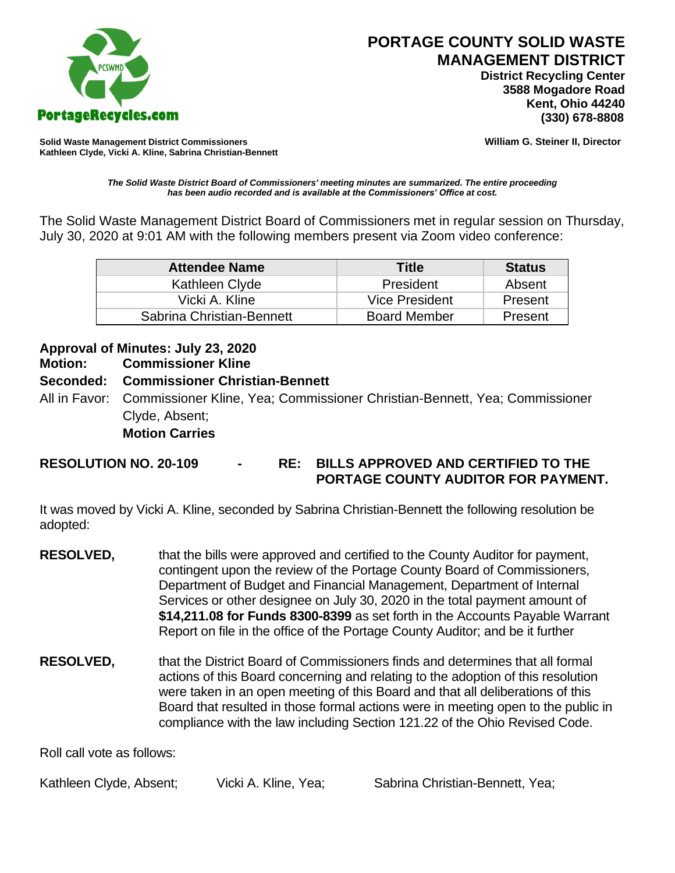

 **District Recycling Center 3588 Mogadore Road Kent, Ohio 44240**

**Solid Waste Management District Commissioners William G. Steiner II, Director Kathleen Clyde, Vicki A. Kline, Sabrina Christian-Bennett** 

*The Solid Waste District Board of Commissioners' meeting minutes are summarized. The entire proceeding has been audio recorded and is available at the Commissioners' Office at cost.*

The Solid Waste Management District Board of Commissioners met in regular session on Thursday, July 30, 2020 at 9:01 AM with the following members present via Zoom video conference:

| <b>Attendee Name</b>      | <b>Title</b>        | <b>Status</b> |
|---------------------------|---------------------|---------------|
| Kathleen Clyde            | President           | Absent        |
| Vicki A. Kline            | Vice President      | Present       |
| Sabrina Christian-Bennett | <b>Board Member</b> | Present       |

## **Approval of Minutes: July 23, 2020**

#### **Motion: Commissioner Kline**

### **Seconded: Commissioner Christian-Bennett**

All in Favor: Commissioner Kline, Yea; Commissioner Christian-Bennett, Yea; Commissioner Clyde, Absent; **Motion Carries**

### **RESOLUTION NO. 20-109 - RE: BILLS APPROVED AND CERTIFIED TO THE PORTAGE COUNTY AUDITOR FOR PAYMENT.**

It was moved by Vicki A. Kline, seconded by Sabrina Christian-Bennett the following resolution be adopted:

- **RESOLVED,** that the bills were approved and certified to the County Auditor for payment, contingent upon the review of the Portage County Board of Commissioners, Department of Budget and Financial Management, Department of Internal Services or other designee on July 30, 2020 in the total payment amount of **\$14,211.08 for Funds 8300-8399** as set forth in the Accounts Payable Warrant Report on file in the office of the Portage County Auditor; and be it further
- **RESOLVED,** that the District Board of Commissioners finds and determines that all formal actions of this Board concerning and relating to the adoption of this resolution were taken in an open meeting of this Board and that all deliberations of this Board that resulted in those formal actions were in meeting open to the public in compliance with the law including Section 121.22 of the Ohio Revised Code.

Roll call vote as follows:

Kathleen Clyde, Absent; Vicki A. Kline, Yea; Sabrina Christian-Bennett, Yea;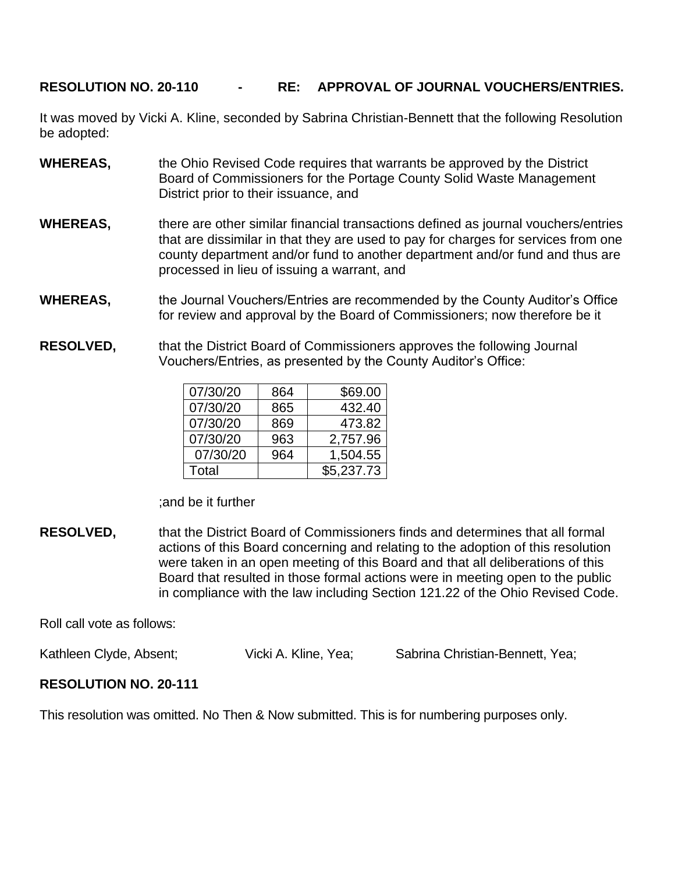### **RESOLUTION NO. 20-110 - RE: APPROVAL OF JOURNAL VOUCHERS/ENTRIES.**

It was moved by Vicki A. Kline, seconded by Sabrina Christian-Bennett that the following Resolution be adopted:

- **WHEREAS,** the Ohio Revised Code requires that warrants be approved by the District Board of Commissioners for the Portage County Solid Waste Management District prior to their issuance, and
- **WHEREAS,** there are other similar financial transactions defined as journal vouchers/entries that are dissimilar in that they are used to pay for charges for services from one county department and/or fund to another department and/or fund and thus are processed in lieu of issuing a warrant, and
- **WHEREAS,** the Journal Vouchers/Entries are recommended by the County Auditor's Office for review and approval by the Board of Commissioners; now therefore be it
- **RESOLVED,** that the District Board of Commissioners approves the following Journal Vouchers/Entries, as presented by the County Auditor's Office:

| 07/30/20 | 864 | \$69.00    |
|----------|-----|------------|
| 07/30/20 | 865 | 432.40     |
| 07/30/20 | 869 | 473.82     |
| 07/30/20 | 963 | 2,757.96   |
| 07/30/20 | 964 | 1,504.55   |
| Total    |     | \$5,237.73 |

;and be it further

**RESOLVED,** that the District Board of Commissioners finds and determines that all formal actions of this Board concerning and relating to the adoption of this resolution were taken in an open meeting of this Board and that all deliberations of this Board that resulted in those formal actions were in meeting open to the public in compliance with the law including Section 121.22 of the Ohio Revised Code.

Roll call vote as follows:

Kathleen Clyde, Absent; Vicki A. Kline, Yea; Sabrina Christian-Bennett, Yea;

# **RESOLUTION NO. 20-111**

This resolution was omitted. No Then & Now submitted. This is for numbering purposes only.